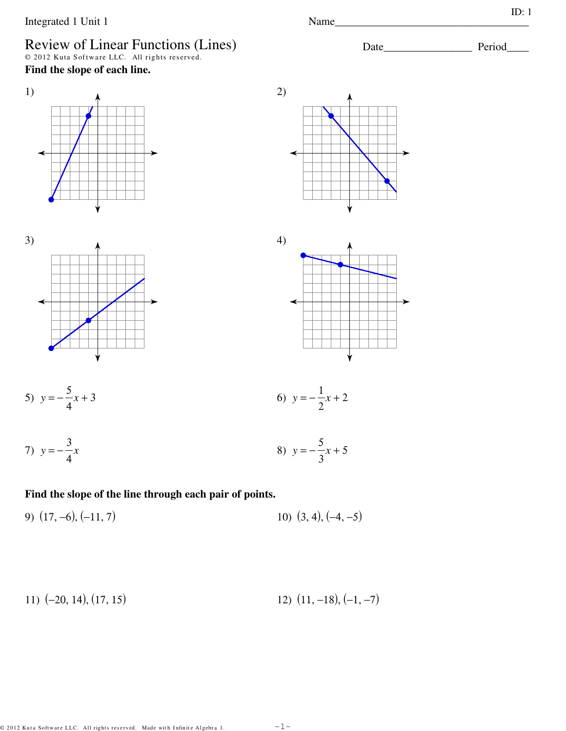# Review of Linear Functions (Lines)<br>  $\circ$  2012 Kuta Software LLC. All rights reserved.

Find the slope of each line.



 $2)$ 









5) 
$$
y = -\frac{5}{4}x + 3
$$

6) 
$$
y = -\frac{1}{2}x + 2
$$

7) 
$$
y = -\frac{3}{4}x
$$
 8)  $y = -\frac{5}{3}x + 5$ 

#### Find the slope of the line through each pair of points.

$$
9) (17, -6), (-11, 7) \tag{3, 4}, (-4, -5)
$$

$$
11) (-20, 14), (17, 15) \qquad \qquad 12) (11, -18), (-1, -7)
$$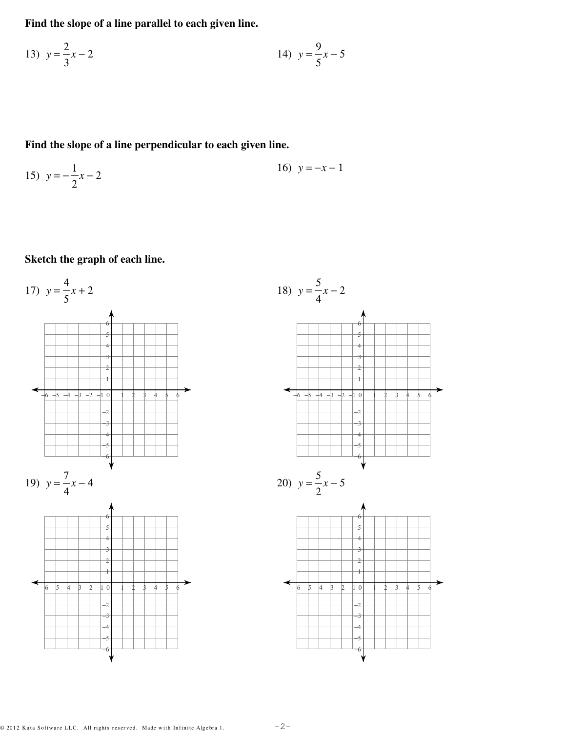Find the slope of a line parallel to each given line.

13) 
$$
y = \frac{2}{3}x - 2
$$
  
14)  $y = \frac{9}{5}x - 5$ 

Find the slope of a line perpendicular to each given line.

15) 
$$
y = -\frac{1}{2}x - 2
$$
  
16)  $y = -x - 1$ 

Sketch the graph of each line.

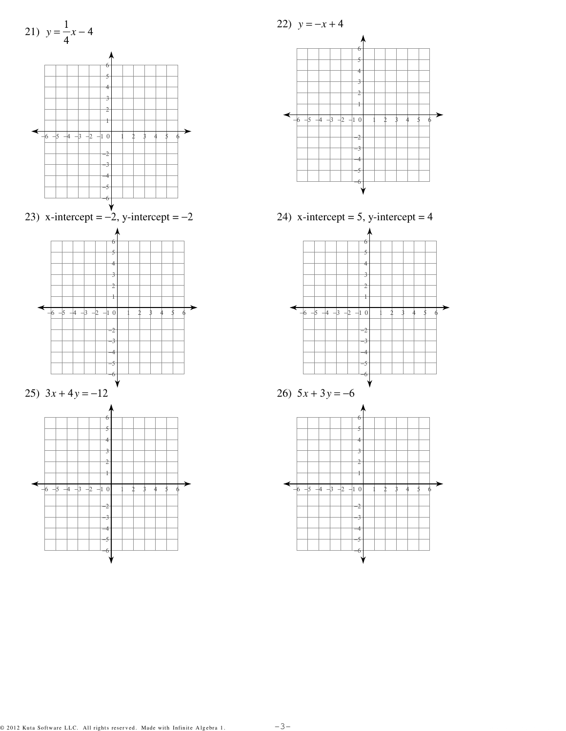

24) x-intercept = 5, y-intercept = 4 →  $\overline{\phantom{a}}$  $\frac{1}{4}$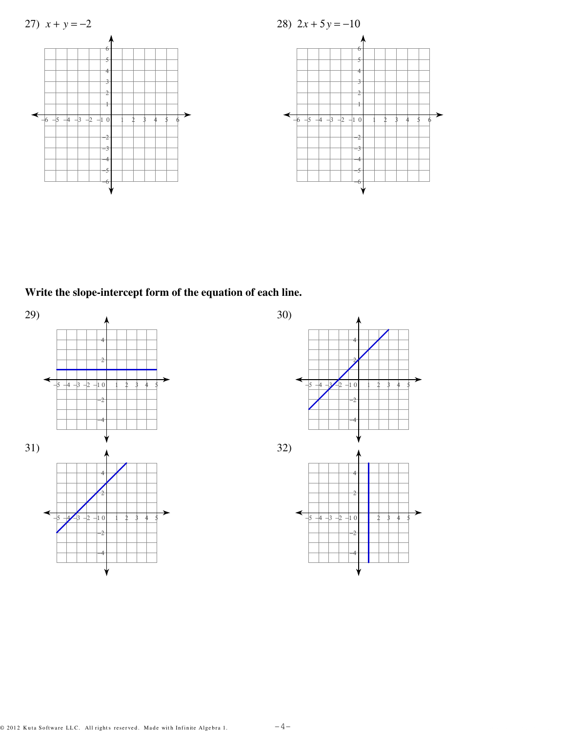

Write the slope-intercept form of the equation of each line.

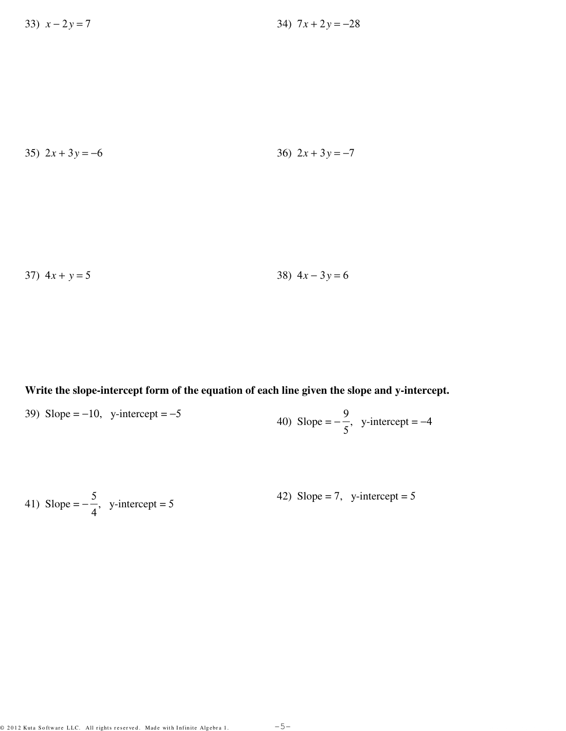35) 
$$
2x + 3y = -6
$$
  
36)  $2x + 3y = -7$ 

37) 
$$
4x + y = 5
$$
  
38)  $4x - 3y = 6$ 

**Write the slope-intercept form of the equation of each line given the slope and y-intercept.**

39) Slope =  $-10$ , y-intercept =  $-5$ 40) Slope =  $-$ 9 5  $,$  y-intercept =  $-4$ 

41) Slope = 
$$
-\frac{5}{4}
$$
, y-intercept = 5  
42) Slope = 7, y-intercept = 5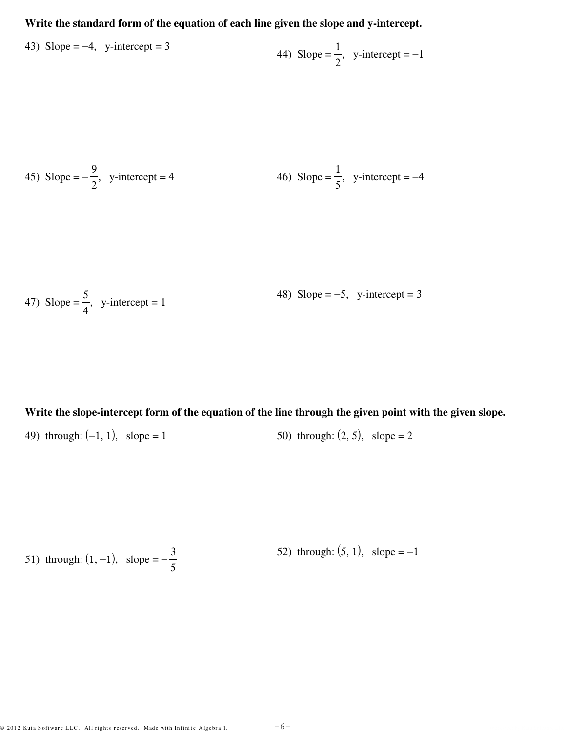## **Write the standard form of the equation of each line given the slope and y-intercept.**

43) Slope = -4, y-intercept = 3  
44) Slope = 
$$
\frac{1}{2}
$$
, y-intercept = -1

45) Slope = 
$$
-\frac{9}{2}
$$
, y-intercept = 4  
46) Slope =  $\frac{1}{5}$ , y-intercept = -4

47) Slope = 
$$
\frac{5}{4}
$$
, y-intercept = 1  
48) Slope = -5, y-intercept = 3

**Write the slope-intercept form of the equation of the line through the given point with the given slope.**

49) through:  $(-1, 1)$ , slope = 1 50) through:  $(2, 5)$ , slope = 2

51) through: 
$$
(1, -1)
$$
, slope =  $-\frac{3}{5}$  52) through:  $(5, 1)$ , slope = -1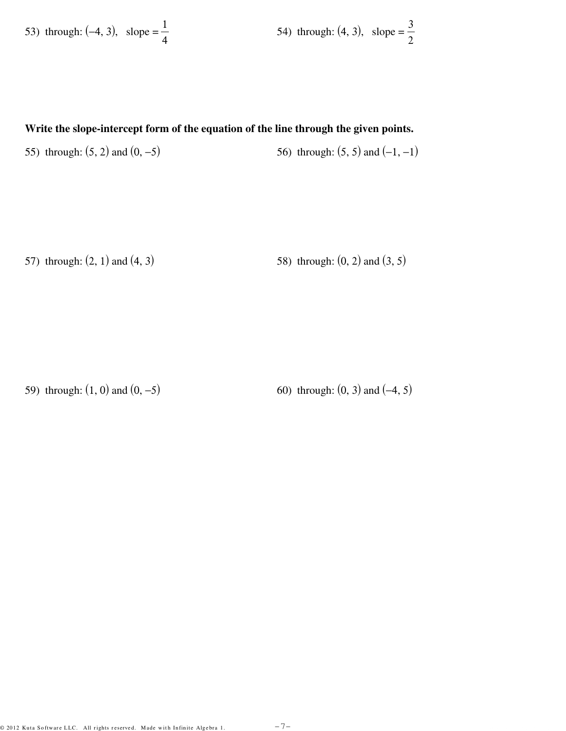53) through: (-4, 3), slope = 
$$
\frac{1}{4}
$$
 54) through: (4, 3), slope =  $\frac{3}{2}$ 

#### **Write the slope-intercept form of the equation of the line through the given points.**

55) through:  $(5, 2)$  and  $(0, -5)$  56) through:  $(5, 5)$  and  $(-1, -1)$ 

57) through:  $(2, 1)$  and  $(4, 3)$  58) through:  $(0, 2)$  and  $(3, 5)$ 

59) through:  $(1, 0)$  and  $(0, -5)$  60) through:  $(0, 3)$  and  $(-4, 5)$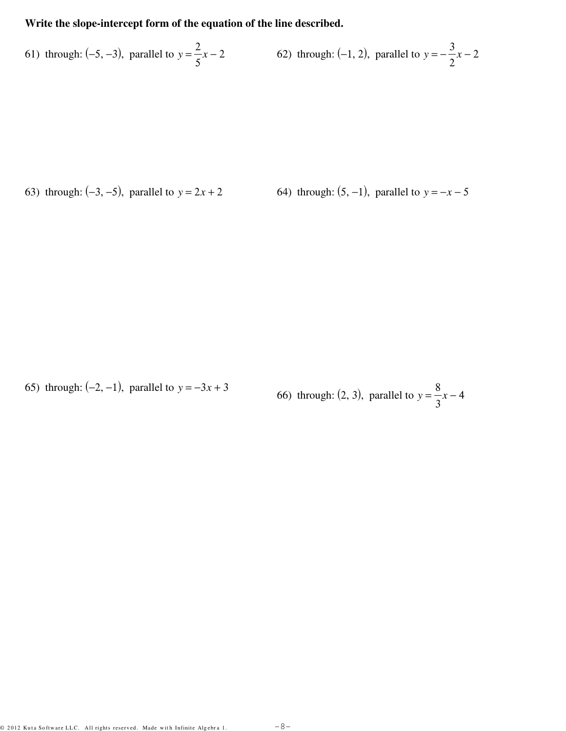#### **Write the slope-intercept form of the equation of the line described.**

61) through: (−5, −3), parallel to *y* = 2 5 *x* − 2 62) through:  $(-1, 2)$ , parallel to *y* = − 3 2 *x* − 2

63) through:  $(-3, -5)$ , parallel to  $y = 2x + 2$  64) through:  $(5, -1)$ , parallel to  $y = -x - 5$ 

65) through:  $(-2, -1)$ , parallel to  $y = -3x + 3$ 66) through:  $(2, 3)$ , parallel to  $y =$ 8 3 *x* − 4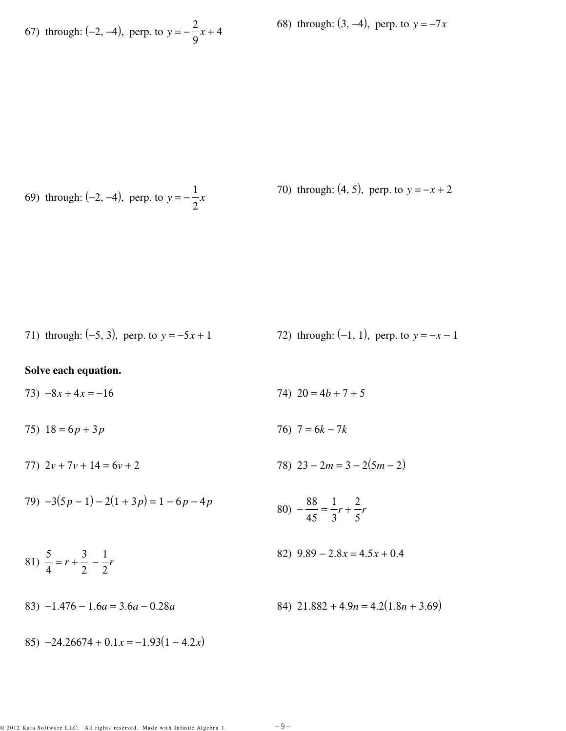67) through: (-2, -4), perp. to  $y = -\frac{2}{9}x + 4$ 

68) through:  $(3, -4)$ , perp. to  $y = -7x$ 

69) through: (-2, -4), perp. to  $y = -\frac{1}{2}x$ 

70) through: (4, 5), perp. to 
$$
y = -x + 2
$$

71) through: (-5, 3), perp. to 
$$
y = -5x + 1
$$
 72) through: (-1, 1), perp. to  $y = -x - 1$ 

#### Solve each equation.

74)  $20 = 4b + 7 + 5$ 73)  $-8x + 4x = -16$ 

- 76)  $7 = 6k 7k$ 75)  $18 = 6p + 3p$
- 78)  $23 2m = 3 2(5m 2)$ 77)  $2v + 7v + 14 = 6v + 2$
- 79)  $-3(5p-1) 2(1+3p) = 1 6p 4p$ 80)  $-\frac{88}{45} = \frac{1}{3}r + \frac{2}{5}r$
- 82)  $9.89 2.8x = 4.5x + 0.4$ 81)  $\frac{5}{4} = r + \frac{3}{2} - \frac{1}{2}r$
- 84)  $21.882 + 4.9n = 4.2(1.8n + 3.69)$ 83)  $-1.476 - 1.6a = 3.6a - 0.28a$

85)  $-24.26674 + 0.1x = -1.93(1 - 4.2x)$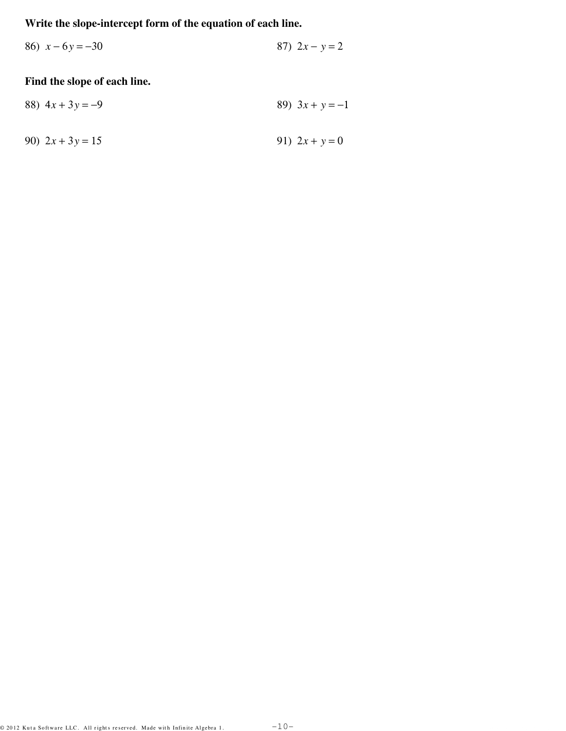## Write the slope-intercept form of the equation of each line.

86)  $x - 6y = -30$ 87)  $2x - y = 2$ 

## Find the slope of each line.

88) 
$$
4x + 3y = -9
$$
  
89)  $3x + y = -1$   
90)  $2x + 3y = 15$   
91)  $2x + y = 0$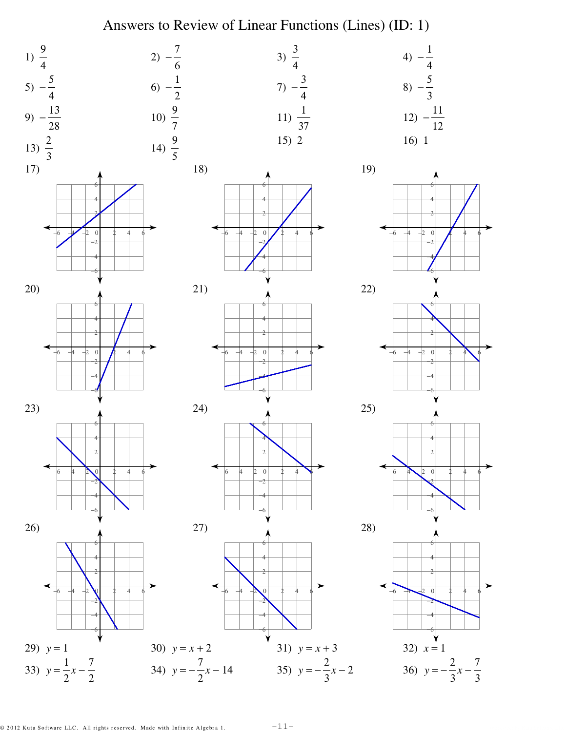# Answers to Review of Linear Functions (Lines) (ID: 1)